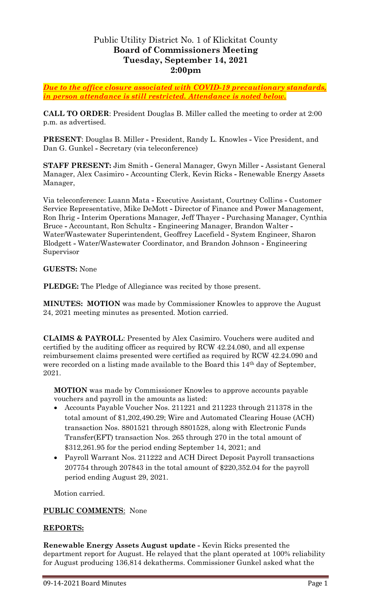# Public Utility District No. 1 of Klickitat County **Board of Commissioners Meeting Tuesday, September 14, 2021 2:00pm**

*Due to the office closure associated with COVID-19 precautionary standards, in person attendance is still restricted. Attendance is noted below.*

**CALL TO ORDER**: President Douglas B. Miller called the meeting to order at 2:00 p.m. as advertised.

**PRESENT**: Douglas B. Miller **-** President, Randy L. Knowles **-** Vice President, and Dan G. Gunkel **-** Secretary (via teleconference)

**STAFF PRESENT:** Jim Smith **-** General Manager, Gwyn Miller **-** Assistant General Manager, Alex Casimiro **-** Accounting Clerk, Kevin Ricks **-** Renewable Energy Assets Manager,

Via teleconference: Luann Mata **-** Executive Assistant, Courtney Collins **-** Customer Service Representative, Mike DeMott **-** Director of Finance and Power Management, Ron Ihrig **-** Interim Operations Manager, Jeff Thayer **-** Purchasing Manager, Cynthia Bruce **-** Accountant, Ron Schultz **-** Engineering Manager, Brandon Walter **-** Water/Wastewater Superintendent, Geoffrey Lacefield **-** System Engineer, Sharon Blodgett **-** Water/Wastewater Coordinator, and Brandon Johnson **-** Engineering Supervisor

#### **GUESTS:** None

**PLEDGE:** The Pledge of Allegiance was recited by those present.

**MINUTES: MOTION** was made by Commissioner Knowles to approve the August 24, 2021 meeting minutes as presented. Motion carried.

**CLAIMS & PAYROLL**: Presented by Alex Casimiro. Vouchers were audited and certified by the auditing officer as required by RCW 42.24.080, and all expense reimbursement claims presented were certified as required by RCW 42.24.090 and were recorded on a listing made available to the Board this 14<sup>th</sup> day of September, 2021.

**MOTION** was made by Commissioner Knowles to approve accounts payable vouchers and payroll in the amounts as listed:

- Accounts Payable Voucher Nos. 211221 and 211223 through 211378 in the total amount of \$1,202,490.29; Wire and Automated Clearing House (ACH) transaction Nos. 8801521 through 8801528, along with Electronic Funds Transfer(EFT) transaction Nos. 265 through 270 in the total amount of \$312,261.95 for the period ending September 14, 2021; and
- Payroll Warrant Nos. 211222 and ACH Direct Deposit Payroll transactions 207754 through 207843 in the total amount of \$220,352.04 for the payroll period ending August 29, 2021.

Motion carried.

### **PUBLIC COMMENTS**: None

#### **REPORTS:**

**Renewable Energy Assets August update -** Kevin Ricks presented the department report for August. He relayed that the plant operated at 100% reliability for August producing 136,814 dekatherms. Commissioner Gunkel asked what the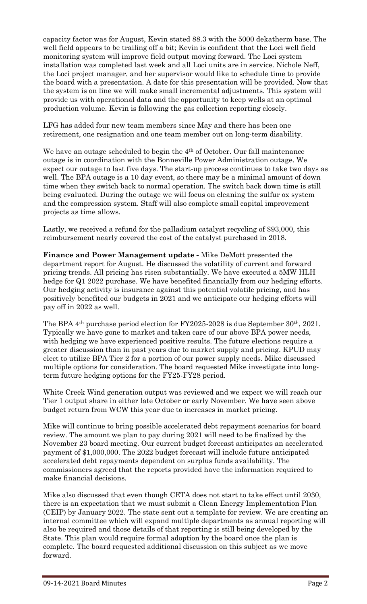capacity factor was for August, Kevin stated 88.3 with the 5000 dekatherm base. The well field appears to be trailing off a bit; Kevin is confident that the Loci well field monitoring system will improve field output moving forward. The Loci system installation was completed last week and all Loci units are in service. Nichole Neff, the Loci project manager, and her supervisor would like to schedule time to provide the board with a presentation. A date for this presentation will be provided. Now that the system is on line we will make small incremental adjustments. This system will provide us with operational data and the opportunity to keep wells at an optimal production volume. Kevin is following the gas collection reporting closely.

LFG has added four new team members since May and there has been one retirement, one resignation and one team member out on long-term disability.

We have an outage scheduled to begin the 4<sup>th</sup> of October. Our fall maintenance outage is in coordination with the Bonneville Power Administration outage. We expect our outage to last five days. The start-up process continues to take two days as well. The BPA outage is a 10 day event, so there may be a minimal amount of down time when they switch back to normal operation. The switch back down time is still being evaluated. During the outage we will focus on cleaning the sulfur ox system and the compression system. Staff will also complete small capital improvement projects as time allows.

Lastly, we received a refund for the palladium catalyst recycling of \$93,000, this reimbursement nearly covered the cost of the catalyst purchased in 2018.

**Finance and Power Management update -** Mike DeMott presented the department report for August. He discussed the volatility of current and forward pricing trends. All pricing has risen substantially. We have executed a 5MW HLH hedge for Q1 2022 purchase. We have benefited financially from our hedging efforts. Our hedging activity is insurance against this potential volatile pricing, and has positively benefited our budgets in 2021 and we anticipate our hedging efforts will pay off in 2022 as well.

The BPA 4th purchase period election for FY2025-2028 is due September 30th, 2021. Typically we have gone to market and taken care of our above BPA power needs, with hedging we have experienced positive results. The future elections require a greater discussion than in past years due to market supply and pricing. KPUD may elect to utilize BPA Tier 2 for a portion of our power supply needs. Mike discussed multiple options for consideration. The board requested Mike investigate into longterm future hedging options for the FY25-FY28 period.

White Creek Wind generation output was reviewed and we expect we will reach our Tier 1 output share in either late October or early November. We have seen above budget return from WCW this year due to increases in market pricing.

Mike will continue to bring possible accelerated debt repayment scenarios for board review. The amount we plan to pay during 2021 will need to be finalized by the November 23 board meeting. Our current budget forecast anticipates an accelerated payment of \$1,000,000. The 2022 budget forecast will include future anticipated accelerated debt repayments dependent on surplus funds availability. The commissioners agreed that the reports provided have the information required to make financial decisions.

Mike also discussed that even though CETA does not start to take effect until 2030, there is an expectation that we must submit a Clean Energy Implementation Plan (CEIP) by January 2022. The state sent out a template for review. We are creating an internal committee which will expand multiple departments as annual reporting will also be required and those details of that reporting is still being developed by the State. This plan would require formal adoption by the board once the plan is complete. The board requested additional discussion on this subject as we move forward.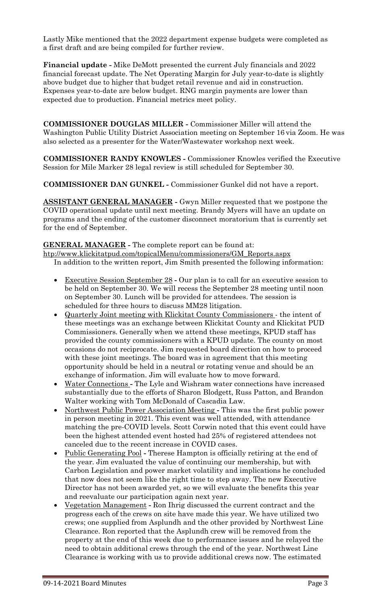Lastly Mike mentioned that the 2022 department expense budgets were completed as a first draft and are being compiled for further review.

**Financial update -** Mike DeMott presented the current July financials and 2022 financial forecast update. The Net Operating Margin for July year-to-date is slightly above budget due to higher that budget retail revenue and aid in construction. Expenses year-to-date are below budget. RNG margin payments are lower than expected due to production. Financial metrics meet policy.

**COMMISSIONER DOUGLAS MILLER -** Commissioner Miller will attend the Washington Public Utility District Association meeting on September 16 via Zoom. He was also selected as a presenter for the Water/Wastewater workshop next week.

**COMMISSIONER RANDY KNOWLES -** Commissioner Knowles verified the Executive Session for Mile Marker 28 legal review is still scheduled for September 30.

**COMMISSIONER DAN GUNKEL -** Commissioner Gunkel did not have a report.

**ASSISTANT GENERAL MANAGER -** Gwyn Miller requested that we postpone the COVID operational update until next meeting. Brandy Myers will have an update on programs and the ending of the customer disconnect moratorium that is currently set for the end of September.

#### **GENERAL MANAGER -** The complete report can be found at:

[htp://www.klickitatpud.com/topicalMenu/commissioners/GM\\_Reports.aspx](http://www.klickitatpud.com/topicalMenu/commissioners/GM_Reports.aspx) In addition to the written report, Jim Smith presented the following information:

- Executive Session September 28 **-** Our plan is to call for an executive session to be held on September 30. We will recess the September 28 meeting until noon on September 30. Lunch will be provided for attendees. The session is scheduled for three hours to discuss MM28 litigation.
- Quarterly Joint meeting with Klickitat County Commissioners the intent of these meetings was an exchange between Klickitat County and Klickitat PUD Commissioners. Generally when we attend these meetings, KPUD staff has provided the county commissioners with a KPUD update. The county on most occasions do not reciprocate. Jim requested board direction on how to proceed with these joint meetings. The board was in agreement that this meeting opportunity should be held in a neutral or rotating venue and should be an exchange of information. Jim will evaluate how to move forward.
- Water Connections **-** The Lyle and Wishram water connections have increased substantially due to the efforts of Sharon Blodgett, Russ Patton, and Brandon Walter working with Tom McDonald of Cascadia Law.
- Northwest Public Power Association Meeting **-** This was the first public power in person meeting in 2021. This event was well attended, with attendance matching the pre-COVID levels. Scott Corwin noted that this event could have been the highest attended event hosted had 25% of registered attendees not canceled due to the recent increase in COVID cases.
- Public Generating Pool Therese Hampton is officially retiring at the end of the year. Jim evaluated the value of continuing our membership, but with Carbon Legislation and power market volatility and implications he concluded that now does not seem like the right time to step away. The new Executive Director has not been awarded yet, so we will evaluate the benefits this year and reevaluate our participation again next year.
- Vegetation Management **-** Ron Ihrig discussed the current contract and the progress each of the crews on site have made this year. We have utilized two crews; one supplied from Asplundh and the other provided by Northwest Line Clearance. Ron reported that the Asplundh crew will be removed from the property at the end of this week due to performance issues and he relayed the need to obtain additional crews through the end of the year. Northwest Line Clearance is working with us to provide additional crews now. The estimated